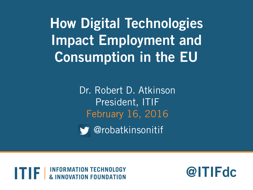**How Digital Technologies Impact Employment and Consumption in the EU**

> Dr. Robert D. Atkinson President, ITIF February 16, 2016

@robatkinsonitif

**INFORMATION TECHNOLOGY NNOVATION FOUNDATION** 

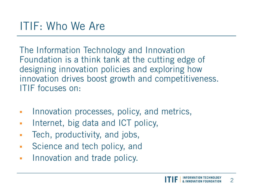The Information Technology and Innovation Foundation is a think tank at the cutting edge of designing innovation policies and exploring how innovation drives boost growth and competitiveness. ITIF focuses on:

- **Innovation processes, policy, and metrics,**
- **Internet, big data and ICT policy,**
- Tech, productivity, and jobs,
- **Science and tech policy, and**
- **Innovation and trade policy.**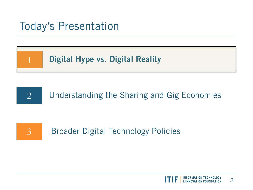#### Today's Presentation







Broader Digital Technology Policies

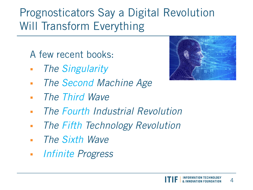## Prognosticators Say a Digital Revolution Will Transform Everything

A few recent books:

- *The Singularity*
- *The Second Machine Age*
- *The Third Wave*
- *The Fourth Industrial Revolution*
- *The Fifth Technology Revolution*
- *The Sixth Wave*
- *Infinite Progress*

4

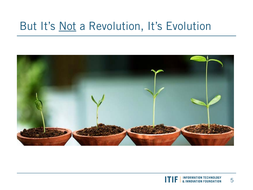#### But It's Not a Revolution, It's Evolution



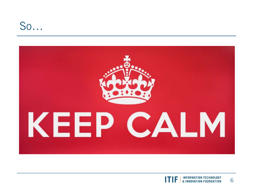#### So…



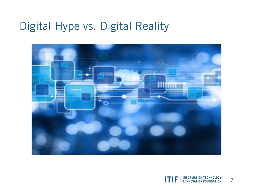#### Digital Hype vs. Digital Reality



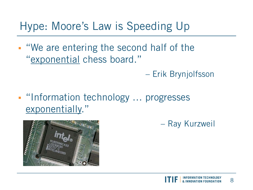#### Hype: Moore's Law is Speeding Up

- "We are entering the second half of the "exponential chess board."
	- Erik Brynjolfsson
- "Information technology ... progresses exponentially."





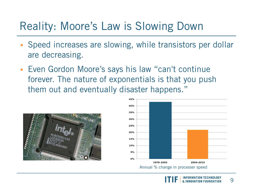#### Reality: Moore's Law is Slowing Down

- Speed increases are slowing, while transistors per dollar are decreasing.
- Even Gordon Moore's says his law "can't continue forever. The nature of exponentials is that you push them out and eventually disaster happens."





9 **INNOVATION FOUNDATION**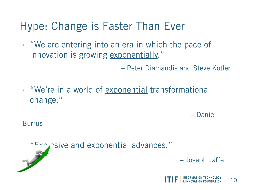#### Hype: Change is Faster Than Ever

• "We are entering into an era in which the pace of innovation is growing exponentially."

– Peter Diamandis and Steve Kotler

• "We're in a world of exponential transformational change."

– Daniel

**Burrus** 

"Explosive and exponential advances."

– Joseph Jaffe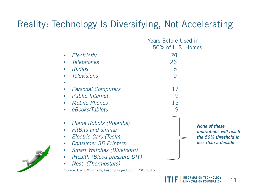#### Reality: Technology Is Diversifying, Not Accelerating

| <b>Years Before Used in</b><br>50% of U.S. Homes |                                                                                              |
|--------------------------------------------------|----------------------------------------------------------------------------------------------|
| 28<br>26<br>8<br>9                               |                                                                                              |
| 17<br>9<br>15<br>9                               |                                                                                              |
|                                                  | <b>None of these</b><br>innovations will reach<br>the 50% threshold in<br>less than a decade |
|                                                  | Source: David Moschella, Leading Edge Forum, CSC, 2015                                       |

**INFORMATION TECHNOLOGY** ITIF 11 & INNOVATION FOUNDATION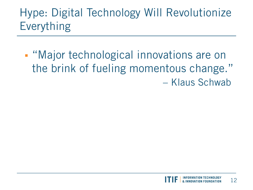## Hype: Digital Technology Will Revolutionize Everything

**• "Major technological innovations are on** the brink of fueling momentous change." – Klaus Schwab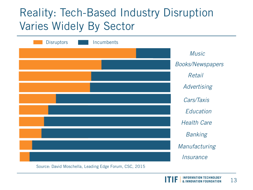#### Reality: Tech-Based Industry Disruption Varies Widely By Sector

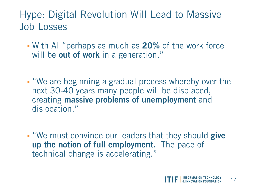#### Hype: Digital Revolution Will Lead to Massive Job Losses

- With AI "perhaps as much as **20%** of the work force will be **out of work** in a generation."
- "We are beginning a gradual process whereby over the next 30-40 years many people will be displaced, creating **massive problems of unemployment** and dislocation."
- "We must convince our leaders that they should **give up the notion of full employment.** The pace of technical change is accelerating."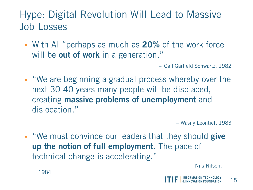#### Hype: Digital Revolution Will Lead to Massive Job Losses

 With AI "perhaps as much as **20%** of the work force will be **out of work** in a generation."

– Gail Garfield Schwartz, 1982

 "We are beginning a gradual process whereby over the next 30-40 years many people will be displaced, creating **massive problems of unemployment** and dislocation."

– Wasily Leontief, 1983

 "We must convince our leaders that they should **give up the notion of full employment**. The pace of technical change is accelerating." The same of the Nilson,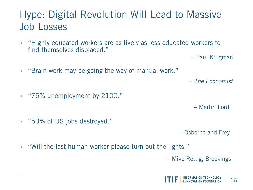#### Hype: Digital Revolution Will Lead to Massive Job Losses

- **EXT** "Highly educated workers are as likely as less educated workers to find themselves displaced."
	- Paul Krugman
- "Brain work may be going the way of manual work."

– *The Economist*

"75% unemployment by 2100."

– Martin Ford

"50% of US jobs destroyed."

– Osborne and Frey

"Will the last human worker please turn out the lights."

– Mike Rettig, Brookings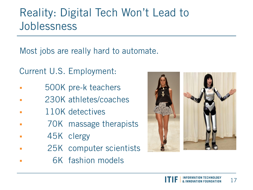### Reality: Digital Tech Won't Lead to Joblessness

Most jobs are really hard to automate.

Current U.S. Employment:

- 500K pre-k teachers
- 230K athletes/coaches
- 110K detectives
- 70K massage therapists
- 45K clergy
- 25K computer scientists
- 6K fashion models

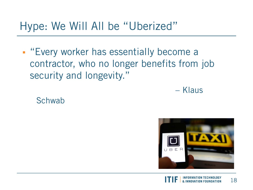#### Hype: We Will All be "Uberized"

**Exery worker has essentially become a** contractor, who no longer benefits from job security and longevity."

– Klaus

**Schwab** 

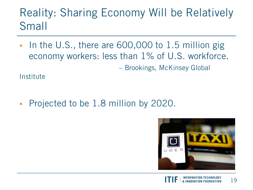### Reality: Sharing Economy Will be Relatively Small

In the U.S., there are 600,000 to 1.5 million gig economy workers: less than 1% of U.S. workforce. – Brookings, McKinsey Global

**Institute** 

Projected to be 1.8 million by 2020.

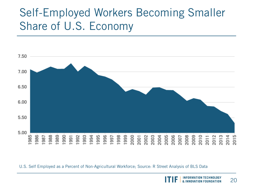#### Self-Employed Workers Becoming Smaller Share of U.S. Economy



U.S. Self Employed as a Percent of Non-Agricultural Workforce; Source: R Street Analysis of BLS Data

20 **& INNOVATION FOUNDATION**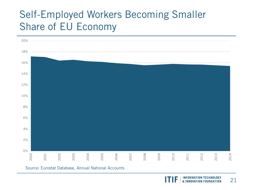#### Self-Employed Workers Becoming Smaller Share of EU Economy



**INFORMATION TECHNOLOGY** 21 & INNOVATION FOUNDATION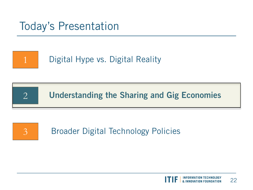#### Today's Presentation



 $\overline{2}$ 

Digital Hype vs. Digital Reality

**Understanding the Sharing and Gig Economies**

# $\overline{3}$

Broader Digital Technology Policies

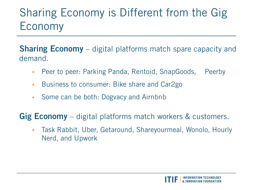## Sharing Economy is Different from the Gig Economy

**Sharing Economy** – digital platforms match spare capacity and demand.

- Peer to peer: Parking Panda, Rentoid, SnapGoods, Peerby
- **Business to consumer: Bike share and Car2go -**
- Some can be both: Dogvacy and Airnbnb

**Gig Economy** – digital platforms match workers & customers.

 Task Rabbit, Uber, Getaround, Shareyourmeal, Wonolo, Hourly Nerd, and Upwork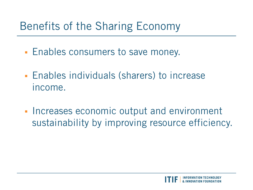### Benefits of the Sharing Economy

- **Enables consumers to save money.**
- Enables individuals (sharers) to increase income.
- **Increases economic output and environment** sustainability by improving resource efficiency.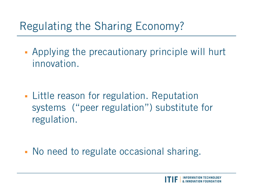## Regulating the Sharing Economy?

 Applying the precautionary principle will hurt innovation.

**Little reason for regulation. Reputation** systems ("peer regulation") substitute for regulation.

• No need to regulate occasional sharing.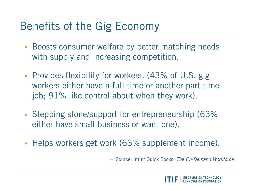### Benefits of the Gig Economy

- **Boosts consumer welfare by better matching needs** with supply and increasing competition.
- **Provides flexibility for workers. (43% of U.S. gig.** workers either have a full time or another part time job; 91% like control about when they work).
- Stepping stone/support for entrepreneurship (63% either have small business or want one).
- **Helps workers get work (63% supplement income).**

– Source: Intuit Quick Books, *The On-Demand Workforce*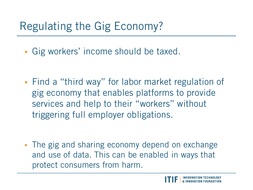## Regulating the Gig Economy?

- Gig workers' income should be taxed.
- Find a "third way" for labor market regulation of gig economy that enables platforms to provide services and help to their "workers" without triggering full employer obligations.
- The gig and sharing economy depend on exchange and use of data. This can be enabled in ways that protect consumers from harm.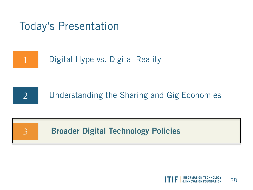#### Today's Presentation





 $\overline{\mathcal{E}}$ 

1

Understanding the Sharing and Gig Economies

#### **Broader Digital Technology Policies**

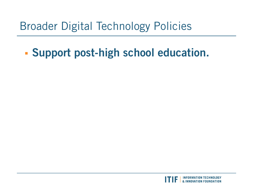### Broader Digital Technology Policies

### **Support post-high school education.**

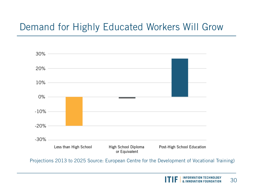#### Demand for Highly Educated Workers Will Grow



Projections 2013 to 2025 Source: European Centre for the Development of Vocational Training)

**INFORMATION TECHNOLOGY** 30 & INNOVATION FOUNDATION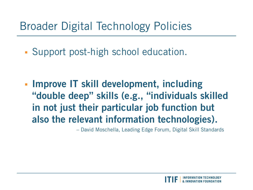#### Broader Digital Technology Policies

Support post-high school education.

 **Improve IT skill development, including "double deep" skills (e.g., "individuals skilled in not just their particular job function but also the relevant information technologies).**

– David Moschella, Leading Edge Forum, Digital Skill Standards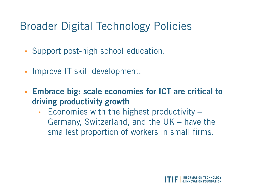### Broader Digital Technology Policies

- Support post-high school education.
- **Improve IT skill development.**
- **Embrace big: scale economies for ICT are critical to driving productivity growth**
	- Economies with the highest productivity Germany, Switzerland, and the UK – have the smallest proportion of workers in small firms.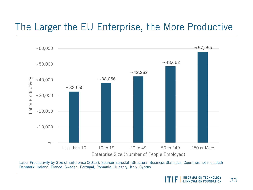#### The Larger the EU Enterprise, the More Productive



Labor Productivity by Size of Enterprise (2012). Source: Eurostat, Structural Business Statistics. Countries not included: Denmark, Ireland, France, Sweden, Portugal, Romania, Hungary, Italy, Cyprus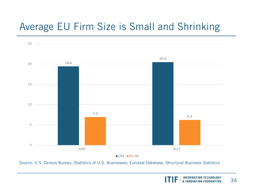#### Average EU Firm Size is Small and Shrinking



USA **EU-28** 

Source: U.S. Census Bureau, Statistics of U.S. Businesses; Eurostat Database, Structural Business Statistics

**INFORMATION TECHNOLOGY** 34 & INNOVATION FOUNDATION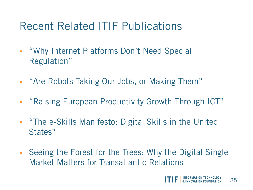#### Recent Related ITIF Publications

- . "Why Internet Platforms Don't Need Special Regulation"
- " "Are Robots Taking Our Jobs, or Making Them"
- "Raising European Productivity Growth Through ICT"
- . "The e-Skills Manifesto: Digital Skills in the United States"
- Seeing the Forest for the Trees: Why the Digital Single Market Matters for Transatlantic Relations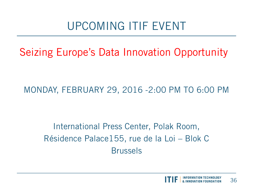### UPCOMING ITIF EVENT

Seizing Europe's Data Innovation Opportunity

MONDAY, FEBRUARY 29, 2016 -2:00 PM TO 6:00 PM

International Press Center, Polak Room, Résidence Palace155, rue de la Loi – Blok C Brussels